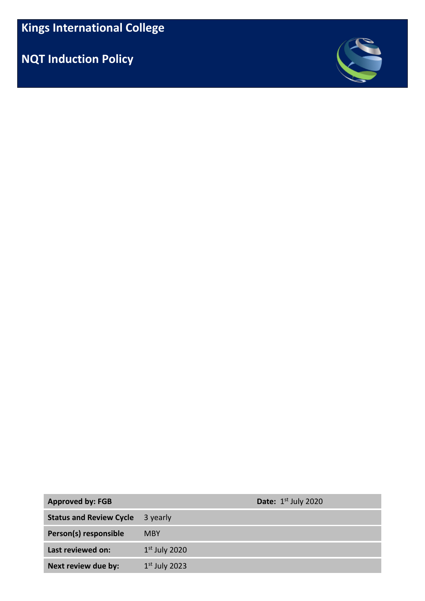**NQT Induction Policy**



| <b>Approved by: FGB</b>        |                 | <b>Date:</b> $1st$ July 2020 |
|--------------------------------|-----------------|------------------------------|
| <b>Status and Review Cycle</b> | 3 yearly        |                              |
| Person(s) responsible          | <b>MBY</b>      |                              |
| Last reviewed on:              | $1st$ July 2020 |                              |
| Next review due by:            | $1st$ July 2023 |                              |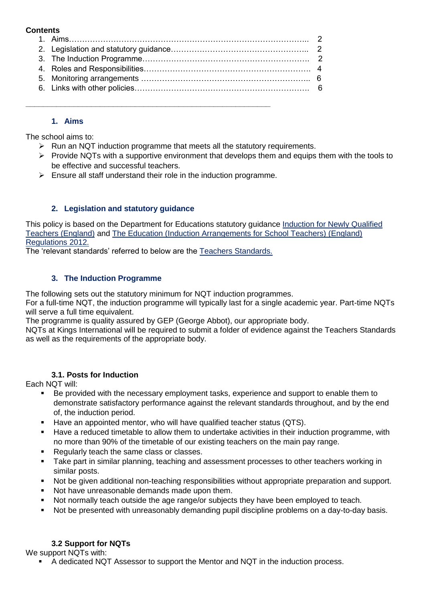#### **Contents**

# **1. Aims**

The school aims to:

- $\triangleright$  Run an NQT induction programme that meets all the statutory requirements.
- $\triangleright$  Provide NQTs with a supportive environment that develops them and equips them with the tools to be effective and successful teachers.
- $\triangleright$  Ensure all staff understand their role in the induction programme.

**\_\_\_\_\_\_\_\_\_\_\_\_\_\_\_\_\_\_\_\_\_\_\_\_\_\_\_\_\_\_\_\_\_\_\_\_\_\_\_\_\_\_\_\_\_\_\_\_\_\_\_\_\_\_\_\_**

### **2. Legislation and statutory guidance**

This policy is based on the Department for Educations statutory guidance Induction for Newly Qualified Teachers (England) and The Education (Induction Arrangements for School Teachers) (England) Regulations 2012.

The 'relevant standards' referred to below are the Teachers Standards.

### **3. The Induction Programme**

The following sets out the statutory minimum for NQT induction programmes.

For a full-time NQT, the induction programme will typically last for a single academic year. Part-time NQTs will serve a full time equivalent.

The programme is quality assured by GEP (George Abbot), our appropriate body.

NQTs at Kings International will be required to submit a folder of evidence against the Teachers Standards as well as the requirements of the appropriate body.

## **3.1. Posts for Induction**

Each NQT will:

- Be provided with the necessary employment tasks, experience and support to enable them to demonstrate satisfactory performance against the relevant standards throughout, and by the end of, the induction period.
- Have an appointed mentor, who will have qualified teacher status (QTS).
- Have a reduced timetable to allow them to undertake activities in their induction programme, with no more than 90% of the timetable of our existing teachers on the main pay range.
- Regularly teach the same class or classes.
- Take part in similar planning, teaching and assessment processes to other teachers working in similar posts.
- Not be given additional non-teaching responsibilities without appropriate preparation and support.
- Not have unreasonable demands made upon them.
- Not normally teach outside the age range/or subjects they have been employed to teach.
- Not be presented with unreasonably demanding pupil discipline problems on a day-to-day basis.

## **3.2 Support for NQTs**

We support NQTs with:

A dedicated NQT Assessor to support the Mentor and NQT in the induction process.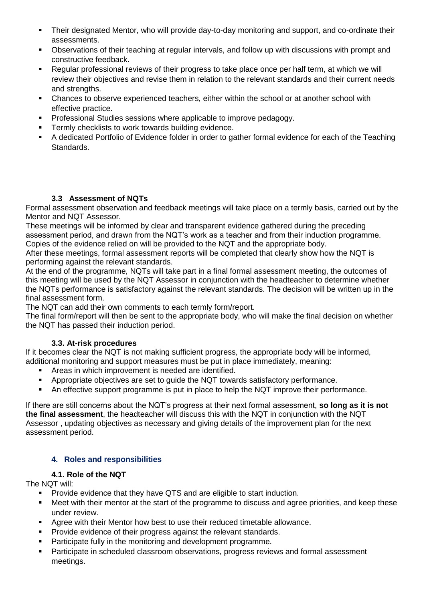- Their designated Mentor, who will provide day-to-day monitoring and support, and co-ordinate their assessments.
- Observations of their teaching at regular intervals, and follow up with discussions with prompt and constructive feedback.
- Regular professional reviews of their progress to take place once per half term, at which we will review their objectives and revise them in relation to the relevant standards and their current needs and strengths.
- Chances to observe experienced teachers, either within the school or at another school with effective practice.
- Professional Studies sessions where applicable to improve pedagogy.
- **Termly checklists to work towards building evidence.**
- A dedicated Portfolio of Evidence folder in order to gather formal evidence for each of the Teaching Standards.

### **3.3 Assessment of NQTs**

Formal assessment observation and feedback meetings will take place on a termly basis, carried out by the Mentor and NQT Assessor.

These meetings will be informed by clear and transparent evidence gathered during the preceding assessment period, and drawn from the NQT's work as a teacher and from their induction programme. Copies of the evidence relied on will be provided to the NQT and the appropriate body.

After these meetings, formal assessment reports will be completed that clearly show how the NQT is performing against the relevant standards.

At the end of the programme, NQTs will take part in a final formal assessment meeting, the outcomes of this meeting will be used by the NQT Assessor in conjunction with the headteacher to determine whether the NQTs performance is satisfactory against the relevant standards. The decision will be written up in the final assessment form.

The NQT can add their own comments to each termly form/report.

The final form/report will then be sent to the appropriate body, who will make the final decision on whether the NQT has passed their induction period.

#### **3.3. At-risk procedures**

If it becomes clear the NQT is not making sufficient progress, the appropriate body will be informed, additional monitoring and support measures must be put in place immediately, meaning:

- Areas in which improvement is needed are identified.
- Appropriate objectives are set to guide the NQT towards satisfactory performance.
- An effective support programme is put in place to help the NQT improve their performance.

If there are still concerns about the NQT's progress at their next formal assessment, **so long as it is not the final assessment**, the headteacher will discuss this with the NQT in conjunction with the NQT Assessor , updating objectives as necessary and giving details of the improvement plan for the next assessment period.

#### **4. Roles and responsibilities**

#### **4.1. Role of the NQT**

The NQT will:

- **Provide evidence that they have QTS and are eligible to start induction.**
- Meet with their mentor at the start of the programme to discuss and agree priorities, and keep these under review.
- Agree with their Mentor how best to use their reduced timetable allowance.
- Provide evidence of their progress against the relevant standards.
- Participate fully in the monitoring and development programme.
- Participate in scheduled classroom observations, progress reviews and formal assessment meetings.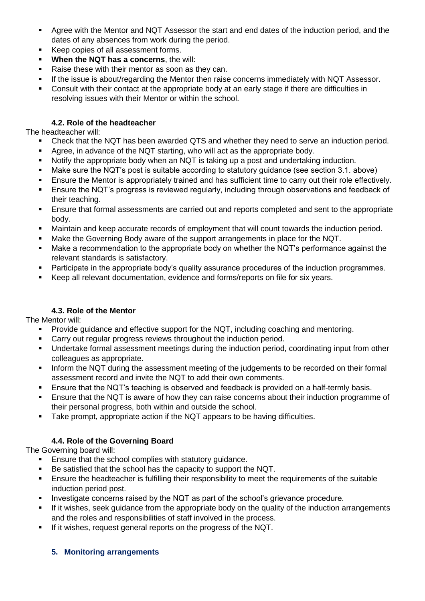- Agree with the Mentor and NQT Assessor the start and end dates of the induction period, and the dates of any absences from work during the period.
- Keep copies of all assessment forms.
- **When the NQT has a concerns**, the will:
- Raise these with their mentor as soon as they can.
- If the issue is about/regarding the Mentor then raise concerns immediately with NQT Assessor.
- Consult with their contact at the appropriate body at an early stage if there are difficulties in resolving issues with their Mentor or within the school.

### **4.2. Role of the headteacher**

The headteacher will:

- Check that the NQT has been awarded QTS and whether they need to serve an induction period.
- Agree, in advance of the NQT starting, who will act as the appropriate body.
- Notify the appropriate body when an NQT is taking up a post and undertaking induction.
- Make sure the NQT's post is suitable according to statutory guidance (see section 3.1. above)
- Ensure the Mentor is appropriately trained and has sufficient time to carry out their role effectively.
- Ensure the NQT's progress is reviewed regularly, including through observations and feedback of their teaching.
- **Ensure that formal assessments are carried out and reports completed and sent to the appropriate** body.
- Maintain and keep accurate records of employment that will count towards the induction period.
- Make the Governing Body aware of the support arrangements in place for the NQT.
- Make a recommendation to the appropriate body on whether the NQT's performance against the relevant standards is satisfactory.
- Participate in the appropriate body's quality assurance procedures of the induction programmes.
- Keep all relevant documentation, evidence and forms/reports on file for six years.

## **4.3. Role of the Mentor**

The Mentor will:

- **Provide guidance and effective support for the NQT, including coaching and mentoring.**
- **Carry out regular progress reviews throughout the induction period.**
- Undertake formal assessment meetings during the induction period, coordinating input from other colleagues as appropriate.
- Inform the NQT during the assessment meeting of the judgements to be recorded on their formal assessment record and invite the NQT to add their own comments.
- **Ensure that the NQT's teaching is observed and feedback is provided on a half-termly basis.**
- **Ensure that the NQT is aware of how they can raise concerns about their induction programme of** their personal progress, both within and outside the school.
- **Take prompt, appropriate action if the NQT appears to be having difficulties.**

## **4.4. Role of the Governing Board**

The Governing board will:

- **Ensure that the school complies with statutory quidance.**
- Be satisfied that the school has the capacity to support the NQT.
- **Ensure the headteacher is fulfilling their responsibility to meet the requirements of the suitable** induction period post.
- Investigate concerns raised by the NQT as part of the school's grievance procedure.
- If it wishes, seek guidance from the appropriate body on the quality of the induction arrangements and the roles and responsibilities of staff involved in the process.
- If it wishes, request general reports on the progress of the NQT.

#### **5. Monitoring arrangements**